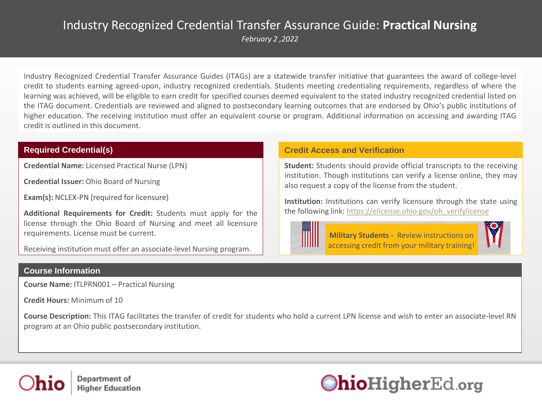## Industry Recognized Credential Transfer Assurance Guide: **Practical Nursing**

*February 2 ,2022*

Industry Recognized Credential Transfer Assurance Guides (ITAGs) are a statewide transfer initiative that guarantees the award of college-level credit to students earning agreed-upon, industry recognized credentials. Students meeting credentialing requirements, regardless of where the learning was achieved, will be eligible to earn credit for specified courses deemed equivalent to the stated industry recognized credential listed on the ITAG document. Credentials are reviewed and aligned to postsecondary learning outcomes that are endorsed by Ohio's public institutions of higher education. The receiving institution must offer an equivalent course or program. Additional information on accessing and awarding ITAG credit is outlined in this document.

**Credential Name:** Licensed Practical Nurse (LPN)

**Credential Issuer:** Ohio Board of Nursing

**Exam(s):** NCLEX-PN (required for licensure)

**Additional Requirements for Credit:** Students must apply for the license through the Ohio Board of Nursing and meet all licensure requirements. License must be current.

Receiving institution must offer an associate-level Nursing program.

### **Course Information**

**Course Name:** ITLPRN001 – Practical Nursing

**Credit Hours:** Minimum of 10

**Course Description:** This ITAG facilitates the transfer of credit for students who hold a current LPN license and wish to enter an associate-level RN program at an Ohio public postsecondary institution.

### **Required Credential(s) Credit Access and Verification**

**Student:** Students should provide official transcripts to the receiving institution. Though institutions can verify a license online, they may also request a copy of the license from the student.

**Institution:** Institutions can verify licensure through the state using the following link: [https://elicense.ohio.gov/oh\\_verifylicense](https://elicense.ohio.gov/oh_verifylicense)



**Military Students -** Review instructions on [accessing credit from your military training!](https://www.ohiohighered.org/sites/default/files/uploads/military/Toolkit/LPN%20MTAG%20Army%20Memo12.20.2018.pdf)





Department of **Higher Education** 

# OhioHigherEd.org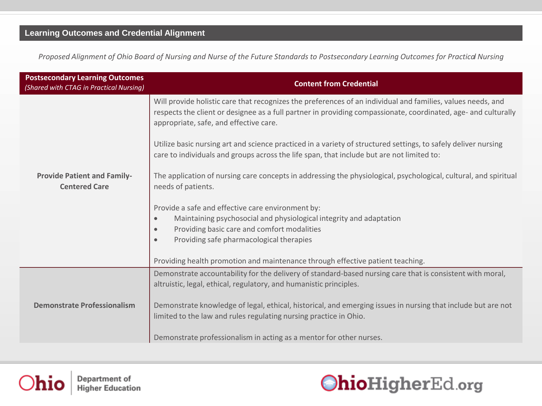*Proposed Alignment of Ohio Board of Nursing and Nurse of the Future Standards to Postsecondary Learning Outcomes for Practical Nursing* 

| <b>Postsecondary Learning Outcomes</b><br>(Shared with CTAG in Practical Nursing) | <b>Content from Credential</b>                                                                                                                                                                                                                                          |
|-----------------------------------------------------------------------------------|-------------------------------------------------------------------------------------------------------------------------------------------------------------------------------------------------------------------------------------------------------------------------|
|                                                                                   | Will provide holistic care that recognizes the preferences of an individual and families, values needs, and<br>respects the client or designee as a full partner in providing compassionate, coordinated, age- and culturally<br>appropriate, safe, and effective care. |
|                                                                                   | Utilize basic nursing art and science practiced in a variety of structured settings, to safely deliver nursing<br>care to individuals and groups across the life span, that include but are not limited to:                                                             |
| <b>Provide Patient and Family-</b><br><b>Centered Care</b>                        | The application of nursing care concepts in addressing the physiological, psychological, cultural, and spiritual<br>needs of patients.                                                                                                                                  |
|                                                                                   | Provide a safe and effective care environment by:                                                                                                                                                                                                                       |
|                                                                                   | Maintaining psychosocial and physiological integrity and adaptation<br>$\bullet$                                                                                                                                                                                        |
|                                                                                   | Providing basic care and comfort modalities<br>$\bullet$                                                                                                                                                                                                                |
|                                                                                   | Providing safe pharmacological therapies<br>$\bullet$                                                                                                                                                                                                                   |
|                                                                                   | Providing health promotion and maintenance through effective patient teaching.                                                                                                                                                                                          |
|                                                                                   | Demonstrate accountability for the delivery of standard-based nursing care that is consistent with moral,                                                                                                                                                               |
|                                                                                   | altruistic, legal, ethical, regulatory, and humanistic principles.                                                                                                                                                                                                      |
| <b>Demonstrate Professionalism</b>                                                | Demonstrate knowledge of legal, ethical, historical, and emerging issues in nursing that include but are not                                                                                                                                                            |
|                                                                                   | limited to the law and rules regulating nursing practice in Ohio.                                                                                                                                                                                                       |
|                                                                                   |                                                                                                                                                                                                                                                                         |
|                                                                                   | Demonstrate professionalism in acting as a mentor for other nurses.                                                                                                                                                                                                     |



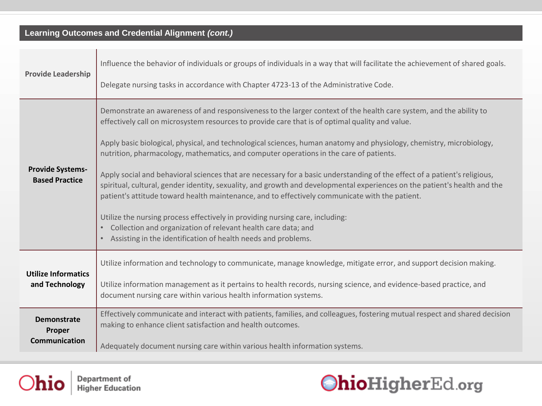### **Learning Outcomes and Credential Alignment** *(cont.)*

| <b>Provide Leadership</b>                        | Influence the behavior of individuals or groups of individuals in a way that will facilitate the achievement of shared goals.                                                                                                                                                                                                                            |
|--------------------------------------------------|----------------------------------------------------------------------------------------------------------------------------------------------------------------------------------------------------------------------------------------------------------------------------------------------------------------------------------------------------------|
|                                                  | Delegate nursing tasks in accordance with Chapter 4723-13 of the Administrative Code.                                                                                                                                                                                                                                                                    |
| <b>Provide Systems-</b><br><b>Based Practice</b> | Demonstrate an awareness of and responsiveness to the larger context of the health care system, and the ability to<br>effectively call on microsystem resources to provide care that is of optimal quality and value.                                                                                                                                    |
|                                                  | Apply basic biological, physical, and technological sciences, human anatomy and physiology, chemistry, microbiology,<br>nutrition, pharmacology, mathematics, and computer operations in the care of patients.                                                                                                                                           |
|                                                  | Apply social and behavioral sciences that are necessary for a basic understanding of the effect of a patient's religious,<br>spiritual, cultural, gender identity, sexuality, and growth and developmental experiences on the patient's health and the<br>patient's attitude toward health maintenance, and to effectively communicate with the patient. |
|                                                  | Utilize the nursing process effectively in providing nursing care, including:<br>Collection and organization of relevant health care data; and<br>Assisting in the identification of health needs and problems.                                                                                                                                          |
| <b>Utilize Informatics</b><br>and Technology     | Utilize information and technology to communicate, manage knowledge, mitigate error, and support decision making.                                                                                                                                                                                                                                        |
|                                                  | Utilize information management as it pertains to health records, nursing science, and evidence-based practice, and<br>document nursing care within various health information systems.                                                                                                                                                                   |
| <b>Demonstrate</b><br>Proper                     | Effectively communicate and interact with patients, families, and colleagues, fostering mutual respect and shared decision<br>making to enhance client satisfaction and health outcomes.                                                                                                                                                                 |
| <b>Communication</b>                             | Adequately document nursing care within various health information systems.                                                                                                                                                                                                                                                                              |



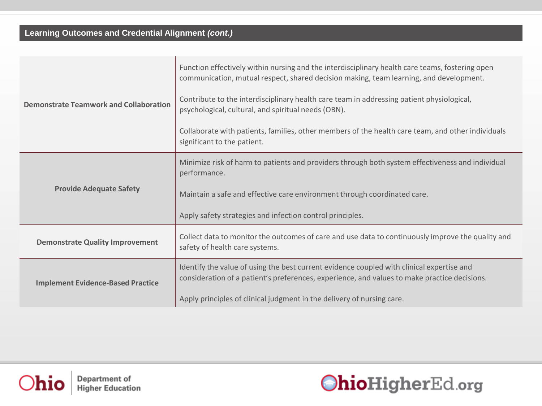### **Learning Outcomes and Credential Alignment** *(cont.)*

| <b>Demonstrate Teamwork and Collaboration</b> | Function effectively within nursing and the interdisciplinary health care teams, fostering open<br>communication, mutual respect, shared decision making, team learning, and development.<br>Contribute to the interdisciplinary health care team in addressing patient physiological,<br>psychological, cultural, and spiritual needs (OBN). |  |
|-----------------------------------------------|-----------------------------------------------------------------------------------------------------------------------------------------------------------------------------------------------------------------------------------------------------------------------------------------------------------------------------------------------|--|
|                                               | Collaborate with patients, families, other members of the health care team, and other individuals<br>significant to the patient.                                                                                                                                                                                                              |  |
| <b>Provide Adequate Safety</b>                | Minimize risk of harm to patients and providers through both system effectiveness and individual<br>performance.                                                                                                                                                                                                                              |  |
|                                               | Maintain a safe and effective care environment through coordinated care.                                                                                                                                                                                                                                                                      |  |
|                                               | Apply safety strategies and infection control principles.                                                                                                                                                                                                                                                                                     |  |
| <b>Demonstrate Quality Improvement</b>        | Collect data to monitor the outcomes of care and use data to continuously improve the quality and<br>safety of health care systems.                                                                                                                                                                                                           |  |
| <b>Implement Evidence-Based Practice</b>      | Identify the value of using the best current evidence coupled with clinical expertise and<br>consideration of a patient's preferences, experience, and values to make practice decisions.                                                                                                                                                     |  |
|                                               | Apply principles of clinical judgment in the delivery of nursing care.                                                                                                                                                                                                                                                                        |  |



Department of **Higher Education**